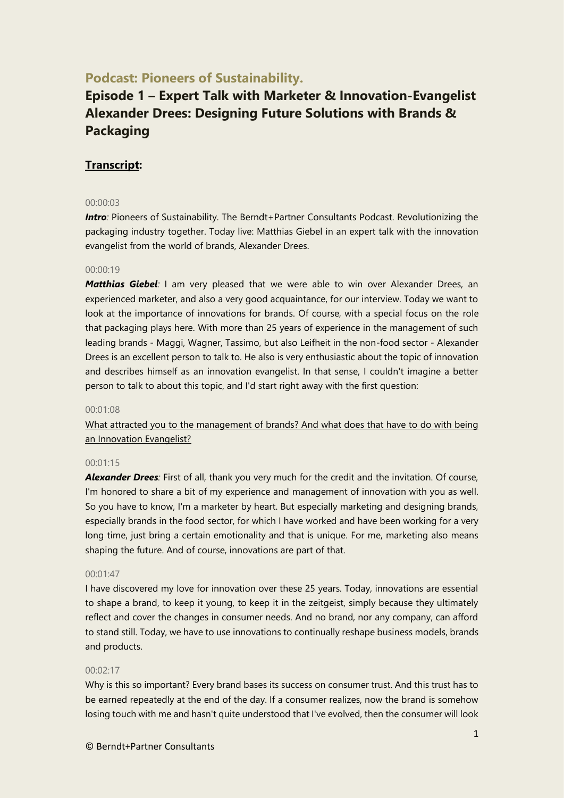# **Podcast: Pioneers of Sustainability.**

# **Episode 1 – Expert Talk with Marketer & Innovation-Evangelist Alexander Drees: Designing Future Solutions with Brands & Packaging**

# **Transcript:**

# 00:00:03

**Intro**: Pioneers of Sustainability. The Berndt+Partner Consultants Podcast. Revolutionizing the packaging industry together. Today live: Matthias Giebel in an expert talk with the innovation evangelist from the world of brands, Alexander Drees.

# 00:00:19

*Matthias Giebel*: I am very pleased that we were able to win over Alexander Drees, an experienced marketer, and also a very good acquaintance, for our interview. Today we want to look at the importance of innovations for brands. Of course, with a special focus on the role that packaging plays here. With more than 25 years of experience in the management of such leading brands - Maggi, Wagner, Tassimo, but also Leifheit in the non-food sector - Alexander Drees is an excellent person to talk to. He also is very enthusiastic about the topic of innovation and describes himself as an innovation evangelist. In that sense, I couldn't imagine a better person to talk to about this topic, and I'd start right away with the first question:

# 00:01:08

What attracted you to the management of brands? And what does that have to do with being an Innovation Evangelist?

# 00:01:15

*Alexander Drees:* First of all, thank you very much for the credit and the invitation. Of course, I'm honored to share a bit of my experience and management of innovation with you as well. So you have to know, I'm a marketer by heart. But especially marketing and designing brands, especially brands in the food sector, for which I have worked and have been working for a very long time, just bring a certain emotionality and that is unique. For me, marketing also means shaping the future. And of course, innovations are part of that.

# 00:01:47

I have discovered my love for innovation over these 25 years. Today, innovations are essential to shape a brand, to keep it young, to keep it in the zeitgeist, simply because they ultimately reflect and cover the changes in consumer needs. And no brand, nor any company, can afford to stand still. Today, we have to use innovations to continually reshape business models, brands and products.

#### 00:02:17

Why is this so important? Every brand bases its success on consumer trust. And this trust has to be earned repeatedly at the end of the day. If a consumer realizes, now the brand is somehow losing touch with me and hasn't quite understood that I've evolved, then the consumer will look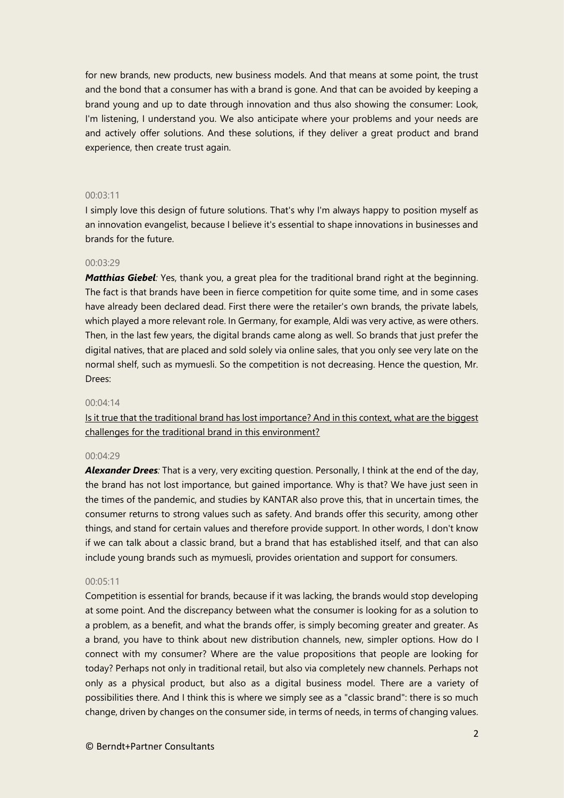for new brands, new products, new business models. And that means at some point, the trust and the bond that a consumer has with a brand is gone. And that can be avoided by keeping a brand young and up to date through innovation and thus also showing the consumer: Look, I'm listening, I understand you. We also anticipate where your problems and your needs are and actively offer solutions. And these solutions, if they deliver a great product and brand experience, then create trust again.

# 00:03:11

I simply love this design of future solutions. That's why I'm always happy to position myself as an innovation evangelist, because I believe it's essential to shape innovations in businesses and brands for the future.

# 00:03:29

*Matthias Giebel:* Yes, thank you, a great plea for the traditional brand right at the beginning. The fact is that brands have been in fierce competition for quite some time, and in some cases have already been declared dead. First there were the retailer's own brands, the private labels, which played a more relevant role. In Germany, for example, Aldi was very active, as were others. Then, in the last few years, the digital brands came along as well. So brands that just prefer the digital natives, that are placed and sold solely via online sales, that you only see very late on the normal shelf, such as mymuesli. So the competition is not decreasing. Hence the question, Mr. Drees:

# 00:04:14

Is it true that the traditional brand has lost importance? And in this context, what are the biggest challenges for the traditional brand in this environment?

# 00:04:29

*Alexander Drees:* That is a very, very exciting question. Personally, I think at the end of the day, the brand has not lost importance, but gained importance. Why is that? We have just seen in the times of the pandemic, and studies by KANTAR also prove this, that in uncertain times, the consumer returns to strong values such as safety. And brands offer this security, among other things, and stand for certain values and therefore provide support. In other words, I don't know if we can talk about a classic brand, but a brand that has established itself, and that can also include young brands such as mymuesli, provides orientation and support for consumers.

# 00:05:11

Competition is essential for brands, because if it was lacking, the brands would stop developing at some point. And the discrepancy between what the consumer is looking for as a solution to a problem, as a benefit, and what the brands offer, is simply becoming greater and greater. As a brand, you have to think about new distribution channels, new, simpler options. How do I connect with my consumer? Where are the value propositions that people are looking for today? Perhaps not only in traditional retail, but also via completely new channels. Perhaps not only as a physical product, but also as a digital business model. There are a variety of possibilities there. And I think this is where we simply see as a "classic brand": there is so much change, driven by changes on the consumer side, in terms of needs, in terms of changing values.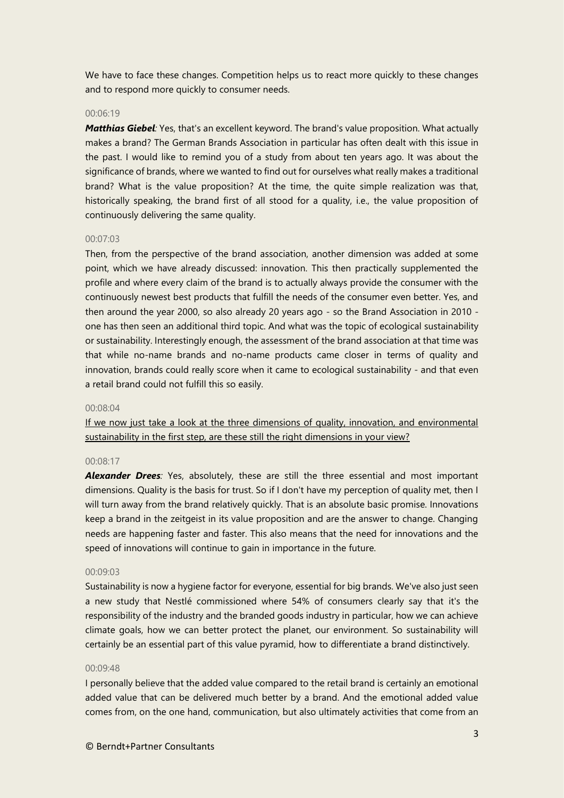We have to face these changes. Competition helps us to react more quickly to these changes and to respond more quickly to consumer needs.

#### 00:06:19

*Matthias Giebel:* Yes, that's an excellent keyword. The brand's value proposition. What actually makes a brand? The German Brands Association in particular has often dealt with this issue in the past. I would like to remind you of a study from about ten years ago. It was about the significance of brands, where we wanted to find out for ourselves what really makes a traditional brand? What is the value proposition? At the time, the quite simple realization was that, historically speaking, the brand first of all stood for a quality, i.e., the value proposition of continuously delivering the same quality.

#### 00:07:03

Then, from the perspective of the brand association, another dimension was added at some point, which we have already discussed: innovation. This then practically supplemented the profile and where every claim of the brand is to actually always provide the consumer with the continuously newest best products that fulfill the needs of the consumer even better. Yes, and then around the year 2000, so also already 20 years ago - so the Brand Association in 2010 one has then seen an additional third topic. And what was the topic of ecological sustainability or sustainability. Interestingly enough, the assessment of the brand association at that time was that while no-name brands and no-name products came closer in terms of quality and innovation, brands could really score when it came to ecological sustainability - and that even a retail brand could not fulfill this so easily.

#### 00:08:04

If we now just take a look at the three dimensions of quality, innovation, and environmental sustainability in the first step, are these still the right dimensions in your view?

# 00:08:17

*Alexander Drees:* Yes, absolutely, these are still the three essential and most important dimensions. Quality is the basis for trust. So if I don't have my perception of quality met, then I will turn away from the brand relatively quickly. That is an absolute basic promise. Innovations keep a brand in the zeitgeist in its value proposition and are the answer to change. Changing needs are happening faster and faster. This also means that the need for innovations and the speed of innovations will continue to gain in importance in the future.

#### 00:09:03

Sustainability is now a hygiene factor for everyone, essential for big brands. We've also just seen a new study that Nestlé commissioned where 54% of consumers clearly say that it's the responsibility of the industry and the branded goods industry in particular, how we can achieve climate goals, how we can better protect the planet, our environment. So sustainability will certainly be an essential part of this value pyramid, how to differentiate a brand distinctively.

# 00:09:48

I personally believe that the added value compared to the retail brand is certainly an emotional added value that can be delivered much better by a brand. And the emotional added value comes from, on the one hand, communication, but also ultimately activities that come from an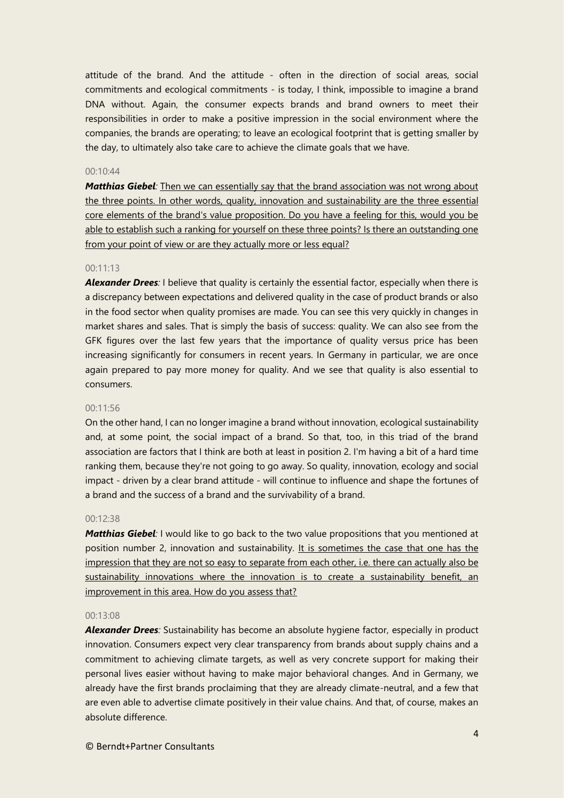attitude of the brand. And the attitude - often in the direction of social areas, social commitments and ecological commitments - is today, I think, impossible to imagine a brand DNA without. Again, the consumer expects brands and brand owners to meet their responsibilities in order to make a positive impression in the social environment where the companies, the brands are operating; to leave an ecological footprint that is getting smaller by the day, to ultimately also take care to achieve the climate goals that we have.

# 00:10:44

*Matthias Giebel:* Then we can essentially say that the brand association was not wrong about the three points. In other words, quality, innovation and sustainability are the three essential core elements of the brand's value proposition. Do you have a feeling for this, would you be able to establish such a ranking for yourself on these three points? Is there an outstanding one from your point of view or are they actually more or less equal?

#### 00:11:13

*Alexander Drees:* I believe that quality is certainly the essential factor, especially when there is a discrepancy between expectations and delivered quality in the case of product brands or also in the food sector when quality promises are made. You can see this very quickly in changes in market shares and sales. That is simply the basis of success: quality. We can also see from the GFK figures over the last few years that the importance of quality versus price has been increasing significantly for consumers in recent years. In Germany in particular, we are once again prepared to pay more money for quality. And we see that quality is also essential to consumers.

#### 00:11:56

On the other hand, I can no longer imagine a brand without innovation, ecological sustainability and, at some point, the social impact of a brand. So that, too, in this triad of the brand association are factors that I think are both at least in position 2. I'm having a bit of a hard time ranking them, because they're not going to go away. So quality, innovation, ecology and social impact - driven by a clear brand attitude - will continue to influence and shape the fortunes of a brand and the success of a brand and the survivability of a brand.

#### 00:12:38

*Matthias Giebel:* I would like to go back to the two value propositions that you mentioned at position number 2, innovation and sustainability. It is sometimes the case that one has the impression that they are not so easy to separate from each other, i.e. there can actually also be sustainability innovations where the innovation is to create a sustainability benefit, an improvement in this area. How do you assess that?

#### 00:13:08

*Alexander Drees:* Sustainability has become an absolute hygiene factor, especially in product innovation. Consumers expect very clear transparency from brands about supply chains and a commitment to achieving climate targets, as well as very concrete support for making their personal lives easier without having to make major behavioral changes. And in Germany, we already have the first brands proclaiming that they are already climate-neutral, and a few that are even able to advertise climate positively in their value chains. And that, of course, makes an absolute difference.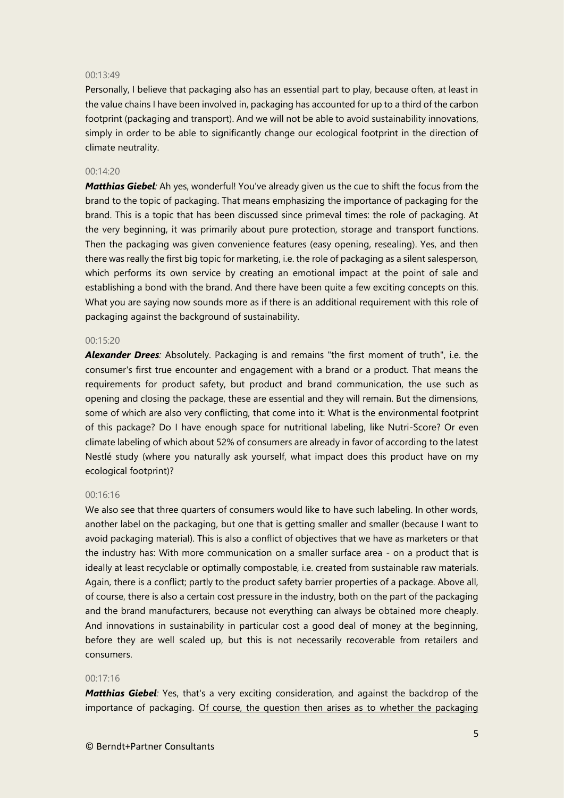#### 00:13:49

Personally, I believe that packaging also has an essential part to play, because often, at least in the value chains I have been involved in, packaging has accounted for up to a third of the carbon footprint (packaging and transport). And we will not be able to avoid sustainability innovations, simply in order to be able to significantly change our ecological footprint in the direction of climate neutrality.

# 00:14:20

*Matthias Giebel:* Ah yes, wonderful! You've already given us the cue to shift the focus from the brand to the topic of packaging. That means emphasizing the importance of packaging for the brand. This is a topic that has been discussed since primeval times: the role of packaging. At the very beginning, it was primarily about pure protection, storage and transport functions. Then the packaging was given convenience features (easy opening, resealing). Yes, and then there was really the first big topic for marketing, i.e. the role of packaging as a silent salesperson, which performs its own service by creating an emotional impact at the point of sale and establishing a bond with the brand. And there have been quite a few exciting concepts on this. What you are saying now sounds more as if there is an additional requirement with this role of packaging against the background of sustainability.

#### $00.15:20$

*Alexander Drees:* Absolutely. Packaging is and remains "the first moment of truth", i.e. the consumer's first true encounter and engagement with a brand or a product. That means the requirements for product safety, but product and brand communication, the use such as opening and closing the package, these are essential and they will remain. But the dimensions, some of which are also very conflicting, that come into it: What is the environmental footprint of this package? Do I have enough space for nutritional labeling, like Nutri-Score? Or even climate labeling of which about 52% of consumers are already in favor of according to the latest Nestlé study (where you naturally ask yourself, what impact does this product have on my ecological footprint)?

# 00:16:16

We also see that three quarters of consumers would like to have such labeling. In other words, another label on the packaging, but one that is getting smaller and smaller (because I want to avoid packaging material). This is also a conflict of objectives that we have as marketers or that the industry has: With more communication on a smaller surface area - on a product that is ideally at least recyclable or optimally compostable, i.e. created from sustainable raw materials. Again, there is a conflict; partly to the product safety barrier properties of a package. Above all, of course, there is also a certain cost pressure in the industry, both on the part of the packaging and the brand manufacturers, because not everything can always be obtained more cheaply. And innovations in sustainability in particular cost a good deal of money at the beginning, before they are well scaled up, but this is not necessarily recoverable from retailers and consumers.

# 00:17:16

*Matthias Giebel:* Yes, that's a very exciting consideration, and against the backdrop of the importance of packaging. Of course, the question then arises as to whether the packaging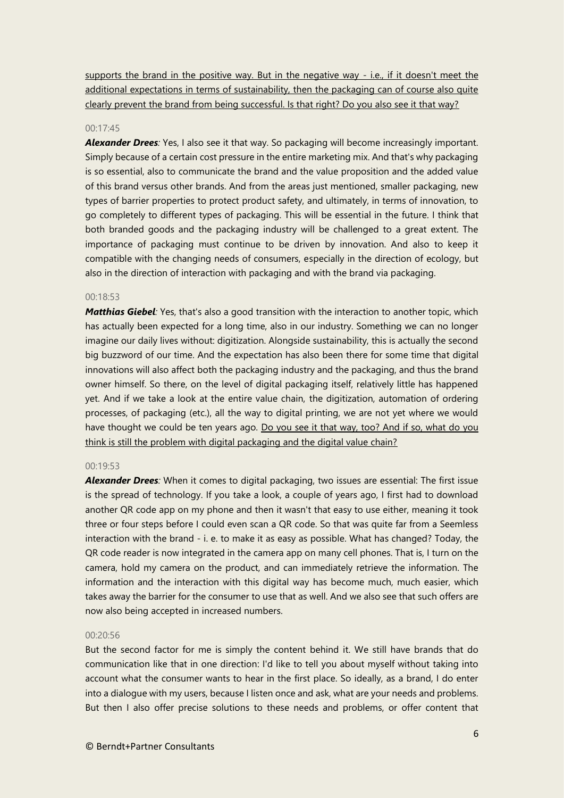supports the brand in the positive way. But in the negative way - i.e., if it doesn't meet the additional expectations in terms of sustainability, then the packaging can of course also quite clearly prevent the brand from being successful. Is that right? Do you also see it that way?

# 00:17:45

**Alexander Drees:** Yes, I also see it that way. So packaging will become increasingly important. Simply because of a certain cost pressure in the entire marketing mix. And that's why packaging is so essential, also to communicate the brand and the value proposition and the added value of this brand versus other brands. And from the areas just mentioned, smaller packaging, new types of barrier properties to protect product safety, and ultimately, in terms of innovation, to go completely to different types of packaging. This will be essential in the future. I think that both branded goods and the packaging industry will be challenged to a great extent. The importance of packaging must continue to be driven by innovation. And also to keep it compatible with the changing needs of consumers, especially in the direction of ecology, but also in the direction of interaction with packaging and with the brand via packaging.

#### 00:18:53

*Matthias Giebel:* Yes, that's also a good transition with the interaction to another topic, which has actually been expected for a long time, also in our industry. Something we can no longer imagine our daily lives without: digitization. Alongside sustainability, this is actually the second big buzzword of our time. And the expectation has also been there for some time that digital innovations will also affect both the packaging industry and the packaging, and thus the brand owner himself. So there, on the level of digital packaging itself, relatively little has happened yet. And if we take a look at the entire value chain, the digitization, automation of ordering processes, of packaging (etc.), all the way to digital printing, we are not yet where we would have thought we could be ten years ago. Do you see it that way, too? And if so, what do you think is still the problem with digital packaging and the digital value chain?

#### 00:19:53

*Alexander Drees:* When it comes to digital packaging, two issues are essential: The first issue is the spread of technology. If you take a look, a couple of years ago, I first had to download another QR code app on my phone and then it wasn't that easy to use either, meaning it took three or four steps before I could even scan a QR code. So that was quite far from a Seemless interaction with the brand - i. e. to make it as easy as possible. What has changed? Today, the QR code reader is now integrated in the camera app on many cell phones. That is, I turn on the camera, hold my camera on the product, and can immediately retrieve the information. The information and the interaction with this digital way has become much, much easier, which takes away the barrier for the consumer to use that as well. And we also see that such offers are now also being accepted in increased numbers.

#### 00:20:56

But the second factor for me is simply the content behind it. We still have brands that do communication like that in one direction: I'd like to tell you about myself without taking into account what the consumer wants to hear in the first place. So ideally, as a brand, I do enter into a dialogue with my users, because I listen once and ask, what are your needs and problems. But then I also offer precise solutions to these needs and problems, or offer content that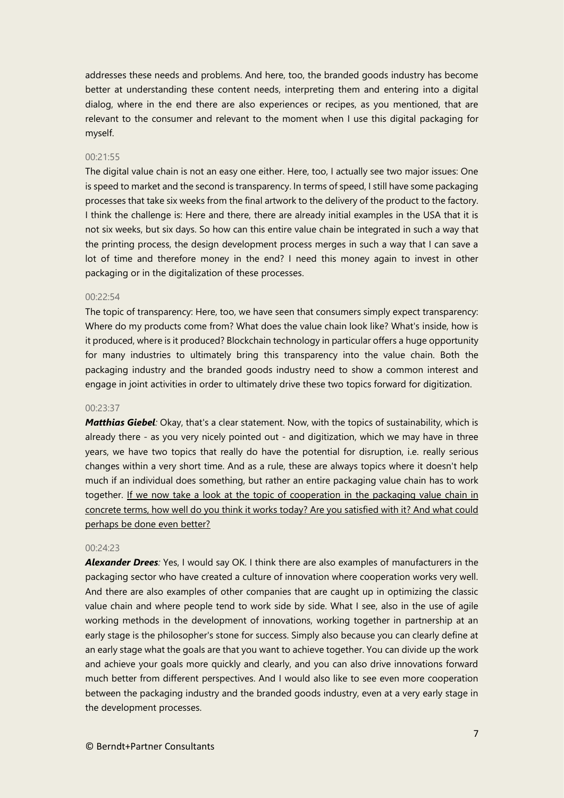addresses these needs and problems. And here, too, the branded goods industry has become better at understanding these content needs, interpreting them and entering into a digital dialog, where in the end there are also experiences or recipes, as you mentioned, that are relevant to the consumer and relevant to the moment when I use this digital packaging for myself.

#### 00:21:55

The digital value chain is not an easy one either. Here, too, I actually see two major issues: One is speed to market and the second is transparency. In terms of speed, I still have some packaging processes that take six weeks from the final artwork to the delivery of the product to the factory. I think the challenge is: Here and there, there are already initial examples in the USA that it is not six weeks, but six days. So how can this entire value chain be integrated in such a way that the printing process, the design development process merges in such a way that I can save a lot of time and therefore money in the end? I need this money again to invest in other packaging or in the digitalization of these processes.

#### $00.22.54$

The topic of transparency: Here, too, we have seen that consumers simply expect transparency: Where do my products come from? What does the value chain look like? What's inside, how is it produced, where is it produced? Blockchain technology in particular offers a huge opportunity for many industries to ultimately bring this transparency into the value chain. Both the packaging industry and the branded goods industry need to show a common interest and engage in joint activities in order to ultimately drive these two topics forward for digitization.

#### 00:23:37

*Matthias Giebel:* Okay, that's a clear statement. Now, with the topics of sustainability, which is already there - as you very nicely pointed out - and digitization, which we may have in three years, we have two topics that really do have the potential for disruption, i.e. really serious changes within a very short time. And as a rule, these are always topics where it doesn't help much if an individual does something, but rather an entire packaging value chain has to work together. If we now take a look at the topic of cooperation in the packaging value chain in concrete terms, how well do you think it works today? Are you satisfied with it? And what could perhaps be done even better?

#### $00:24:23$

*Alexander Drees:* Yes, I would say OK. I think there are also examples of manufacturers in the packaging sector who have created a culture of innovation where cooperation works very well. And there are also examples of other companies that are caught up in optimizing the classic value chain and where people tend to work side by side. What I see, also in the use of agile working methods in the development of innovations, working together in partnership at an early stage is the philosopher's stone for success. Simply also because you can clearly define at an early stage what the goals are that you want to achieve together. You can divide up the work and achieve your goals more quickly and clearly, and you can also drive innovations forward much better from different perspectives. And I would also like to see even more cooperation between the packaging industry and the branded goods industry, even at a very early stage in the development processes.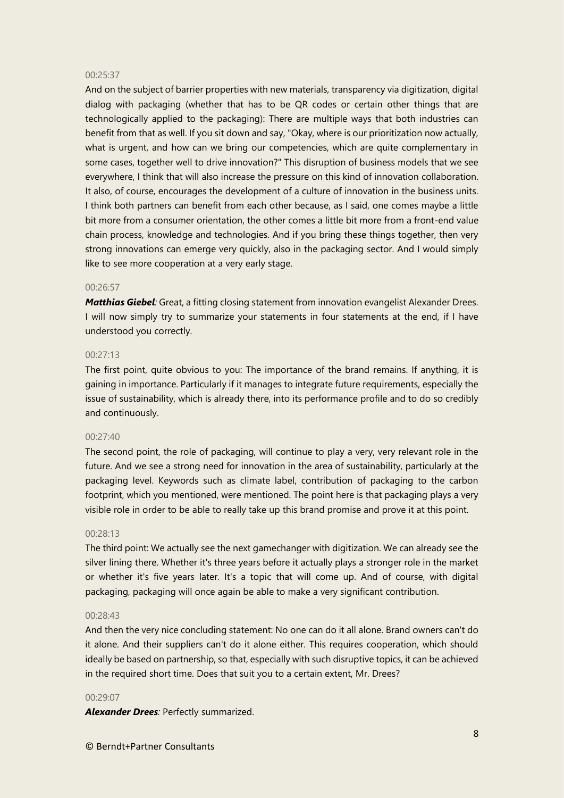#### 00:25:37

And on the subject of barrier properties with new materials, transparency via digitization, digital dialog with packaging (whether that has to be QR codes or certain other things that are technologically applied to the packaging): There are multiple ways that both industries can benefit from that as well. If you sit down and say, "Okay, where is our prioritization now actually, what is urgent, and how can we bring our competencies, which are quite complementary in some cases, together well to drive innovation?" This disruption of business models that we see everywhere, I think that will also increase the pressure on this kind of innovation collaboration. It also, of course, encourages the development of a culture of innovation in the business units. I think both partners can benefit from each other because, as I said, one comes maybe a little bit more from a consumer orientation, the other comes a little bit more from a front-end value chain process, knowledge and technologies. And if you bring these things together, then very strong innovations can emerge very quickly, also in the packaging sector. And I would simply like to see more cooperation at a very early stage.

# 00:26:57

*Matthias Giebel:* Great, a fitting closing statement from innovation evangelist Alexander Drees. I will now simply try to summarize your statements in four statements at the end, if I have understood you correctly.

#### 00:27:13

The first point, quite obvious to you: The importance of the brand remains. If anything, it is gaining in importance. Particularly if it manages to integrate future requirements, especially the issue of sustainability, which is already there, into its performance profile and to do so credibly and continuously.

#### 00:27:40

The second point, the role of packaging, will continue to play a very, very relevant role in the future. And we see a strong need for innovation in the area of sustainability, particularly at the packaging level. Keywords such as climate label, contribution of packaging to the carbon footprint, which you mentioned, were mentioned. The point here is that packaging plays a very visible role in order to be able to really take up this brand promise and prove it at this point.

#### 00:28:13

The third point: We actually see the next gamechanger with digitization. We can already see the silver lining there. Whether it's three years before it actually plays a stronger role in the market or whether it's five years later. It's a topic that will come up. And of course, with digital packaging, packaging will once again be able to make a very significant contribution.

#### 00:28:43

And then the very nice concluding statement: No one can do it all alone. Brand owners can't do it alone. And their suppliers can't do it alone either. This requires cooperation, which should ideally be based on partnership, so that, especially with such disruptive topics, it can be achieved in the required short time. Does that suit you to a certain extent, Mr. Drees?

#### 00:29:07

*Alexander Drees:* Perfectly summarized.